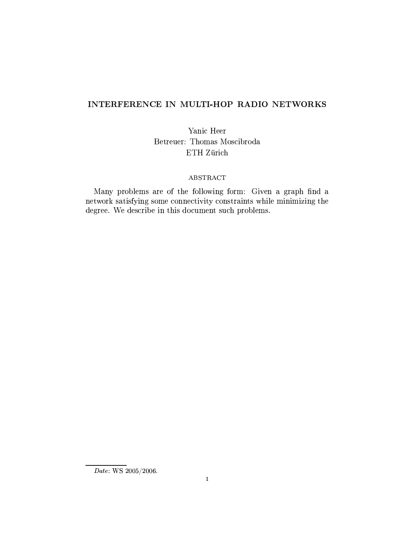# INTERFERENCE IN MULTI-HOP RADIO NETWORKS

Yanic Heer Betreuer: Thomas Moscibroda ETH Zürich

## **ABSTRACT**

Many problems are of the following form: Given a graph find a network satisfying some connectivity constraints while minimizing the degree. We describe in this document such problems.

 $\overline{Date:$  WS 2005/2006.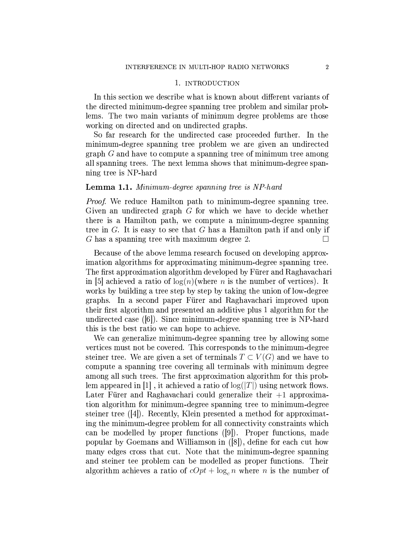### 1. INTRODUCTION

In this section we describe what is known about different variants of the directed minimum-degree spanning tree problem and similar problems. The two main variants of minimum degree problems are those working on directed and on undirected graphs.

So far research for the undirected case proceeded further. In the minimum-degree spanning tree problem we are given an undirected graph  $G$  and have to compute a spanning tree of minimum tree among all spanning trees. The next lemma shows that minimum-degree spanning tree is NP-hard

### **Lemma 1.1.** Minimum-degree spanning tree is NP-hard

*Proof.* We reduce Hamilton path to minimum-degree spanning tree. Given an undirected graph  $G$  for which we have to decide whether there is a Hamilton path, we compute a minimum-degree spanning tree in  $G$ . It is easy to see that  $G$  has a Hamilton path if and only if G has a spanning tree with maximum degree 2.  $\Box$ 

Because of the above lemma research focused on developing approximation algorithms for approximating minimum-degree spanning tree. The first approximation algorithm developed by Fürer and Raghavachari in [5] achieved a ratio of  $log(n)($ where n is the number of vertices). It works by building a tree step by step by taking the union of low-degree graphs. In a second paper Fürer and Raghavachari improved upon their first algorithm and presented an additive plus 1 algorithm for the undirected case  $([6])$ . Since minimum-degree spanning tree is NP-hard this is the best ratio we can hope to achieve.

We can generalize minimum-degree spanning tree by allowing some vertices must not be covered. This corresponds to the minimum-degree steiner tree. We are given a set of terminals  $T \subset V(G)$  and we have to compute a spanning tree covering all terminals with minimum degree among all such trees. The first approximation algorithm for this problem appeared in [1], it achieved a ratio of  $log(|T|)$  using network flows. Later Fürer and Raghavachari could generalize their  $+1$  approximation algorithm for minimum-degree spanning tree to minimum-degree steiner tree  $(4)$ . Recently, Klein presented a method for approximating the minimum-degree problem for all connectivity constraints which can be modelled by proper functions ([9]). Proper functions, made popular by Goemans and Williamson in ([8]), define for each cut how many edges cross that cut. Note that the minimum-degree spanning and steiner tee problem can be modelled as proper functions. Their algorithm achieves a ratio of  $cOpt + \log_c n$  where *n* is the number of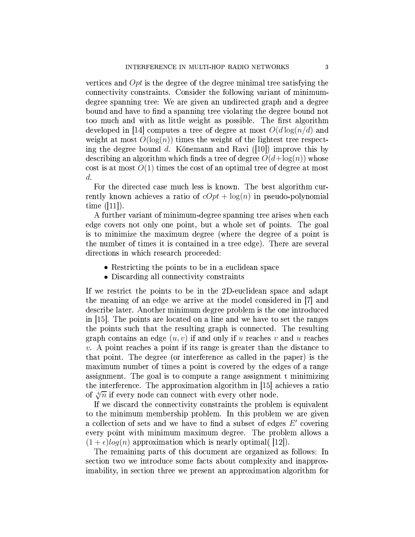vertices and  $Opt$  is the degree of the degree minimal tree satisfying the connectivity constraints. Consider the following variant of minimumdegree spanning tree: We are given an undirected graph and a degree bound and have to find a spanning tree violating the degree bound not too much and with as little weight as possible. The first algorithm developed in [14] computes a tree of degree at most  $O(d \log(n/d)$  and weight at most  $O(\log(n))$  times the weight of the lightest tree respecting the degree bound d. Könemann and Ravi  $(10)$  improve this by describing an algorithm which finds a tree of degree  $O(d + \log(n))$  whose cost is at most  $O(1)$  times the cost of an optimal tree of degree at most  $d.$ 

For the directed case much less is known. The best algorithm currently known achieves a ratio of  $cOpt + \log(n)$  in pseudo-polynomial time  $([11])$ .

A further variant of minimum-degree spanning tree arises when each edge covers not only one point, but a whole set of points. The goal is to minimize the maximum degree (where the degree of a point is the number of times it is contained in a tree edge). There are several directions in which research proceeded:

- Restricting the points to be in a euclidean space
- Discarding all connectivity constraints

If we restrict the points to be in the 2D-euclidean space and adapt the meaning of an edge we arrive at the model considered in [7] and describe later. Another minimum degree problem is the one introduced in [15]. The points are located on a line and we have to set the ranges the points such that the resulting graph is connected. The resulting graph contains an edge  $(u, v)$  if and only if u reaches v and u reaches  $v.$  A point reaches a point if its range is greater than the distance to that point. The degree (or interference as called in the paper) is the maximum number of times a point is covered by the edges of a range assignment. The goal is to compute a range assignment t minimizing the interference. The approximation algorithm in [15] achieves a ratio of  $\sqrt[4]{n}$  if every node can connect with every other node.

If we discard the connectivity constraints the problem is equivalent to the minimum membership problem. In this problem we are given a collection of sets and we have to find a subset of edges  $E'$  covering every point with minimum maximum degree. The problem allows a  $(1+\epsilon)log(n)$  approximation which is nearly optimal( [12]).

The remaining parts of this document are organized as follows: In section two we introduce some facts about complexity and inapproximability, in section three we present an approximation algorithm for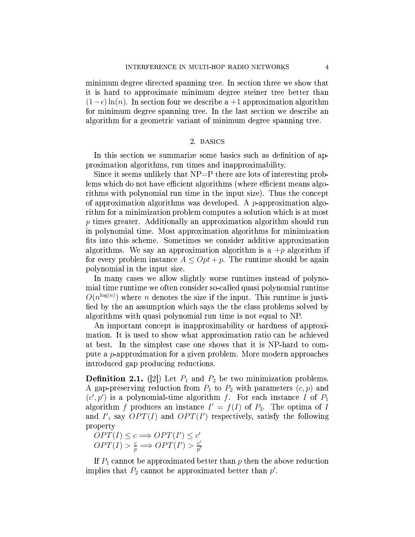minimum degree directed spanning tree. In section three we show that it is hard to approximate minimum degree steiner tree better than  $(1-\epsilon)\ln(n)$ . In section four we describe a +1 approximation algorithm for minimum degree spanning tree. In the last section we describe an algorithm for a geometric variant of minimum degree spanning tree.

## 2. BASICS

In this section we summarize some basics such as definition of approximation algorithms, run times and inapproximability.

Since it seems unlikely that  $NP = P$  there are lots of interesting problems which do not have efficient algorithms (where efficient means algorithms with polynomial run time in the input size). Thus the concept of approximation algorithms was developed. A  $p$ -approximation algorithm for a minimization problem computes a solution which is at most  $p$  times greater. Additionally an approximation algorithm should run in polynomial time. Most approximation algorithms for minimization fits into this scheme. Sometimes we consider additive approximation algorithms. We say an approximation algorithm is a  $+p$  algorithm if for every problem instance  $A \leq Opt + p$ . The runtime should be again polynomial in the input size.

In many cases we allow slightly worse runtimes instead of polynomial time runtime we often consider so-called quasi polynomial runtime  $O(n^{\log(n)})$  where *n* denotes the size if the input. This runtime is justified by the an assumption which says the the class problems solved by algorithms with quasi polynomial run time is not equal to NP.

An important concept is inapproximability or hardness of approximation. It is used to show what approximation ratio can be achieved at best. In the simplest case one shows that it is NP-hard to compute a *p*-approximation for a given problem. More modern approaches introduced gap producing reductions.

**Definition 2.1.** ([2]) Let  $P_1$  and  $P_2$  be two minimization problems. A gap-preserving reduction from  $P_1$  to  $P_2$  with parameters  $(c, p)$  and  $(c', p')$  is a polynomial-time algorithm f. For each instance I of  $P_1$ algorithm f produces an instance  $I' = f(I)$  of  $P_2$ . The optima of I and I', say  $OPT(I)$  and  $OPT(I')$  respectively, satisfy the following property

 $OPT(I) \leq c \Longrightarrow OPT(I') \leq c'$  $OPT(I) > \frac{c}{p} \Longrightarrow OPT(I') > \frac{c'}{p'}$ 

If  $P_1$  cannot be approximated better than p then the above reduction implies that  $P_2$  cannot be approximated better than  $p'$ .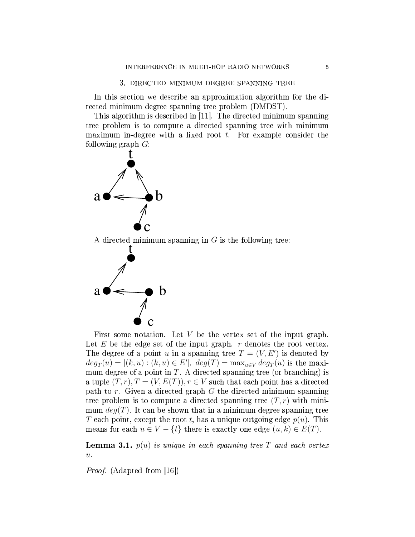In this section we describe an approximation algorithm for the directed minimum degree spanning tree problem (DMDST).

This algorithm is described in [11]. The directed minimum spanning tree problem is to compute a directed spanning tree with minimum maximum in-degree with a fixed root  $t$ . For example consider the following graph  $G$ :



A directed minimum spanning in  $G$  is the following tree:



First some notation. Let  $V$  be the vertex set of the input graph. Let E be the edge set of the input graph.  $r$  denotes the root vertex. The degree of a point u in a spanning tree  $T = (V, E')$  is denoted by  $deg_T(u) = |(k, u) : (k, u) \in E'|$ .  $deg(T) = \max_{u \in V} deg_T(u)$  is the maximum degree of a point in  $T$ . A directed spanning tree (or branching) is a tuple  $(T, r), T = (V, E(T)), r \in V$  such that each point has a directed path to  $r$ . Given a directed graph  $G$  the directed minimum spanning tree problem is to compute a directed spanning tree  $(T, r)$  with minimum  $deg(T)$ . It can be shown that in a minimum degree spanning tree T each point, except the root t, has a unique outgoing edge  $p(u)$ . This means for each  $u \in V - \{t\}$  there is exactly one edge  $(u, k) \in E(T)$ .

**Lemma 3.1.**  $p(u)$  is unique in each spanning tree T and each vertex  $\overline{u}$ .

*Proof.* (Adapted from [16])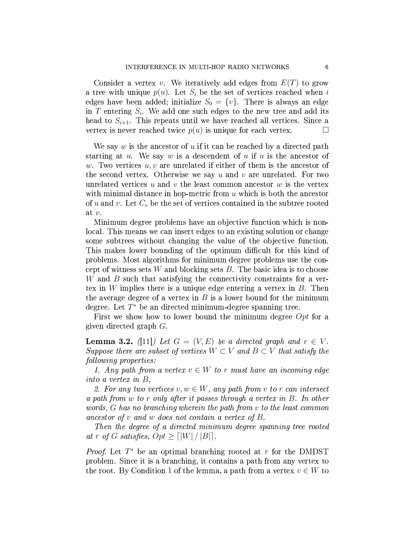Consider a vertex v. We iteratively add edges from  $E(T)$  to grow a tree with unique  $p(u)$ . Let  $S_i$  be the set of vertices reached when i edges have been added; initialize  $S_0 = \{v\}$ . There is always an edge in  $T$  entering  $S_i$ . We add one such edges to the new tree and add its head to  $S_{i+1}$ . This repeats until we have reached all vertices. Since a vertex is never reached twice  $p(u)$  is unique for each vertex.  $\Box$ 

We say  $w$  is the ancestor of  $u$  if it can be reached by a directed path starting at  $u$ . We say  $w$  is a descendent of  $u$  if  $u$  is the ancestor of w. Two vertices  $u, v$  are unrelated if either of them is the ancestor of the second vertex. Otherwise we say  $u$  and  $v$  are unrelated. For two unrelated vertices  $u$  and  $v$  the least common ancestor  $w$  is the vertex with minimal distance in hop-metric from  $u$  which is both the ancestor of u and v. Let  $C_v$  be the set of vertices contained in the subtree rooted at  $v$ .

Minimum degree problems have an objective function which is nonlocal. This means we can insert edges to an existing solution or change some subtrees without changing the value of the objective function. This makes lower bounding of the optimum difficult for this kind of problems. Most algorithms for minimum degree problems use the concept of witness sets  $W$  and blocking sets  $B$ . The basic idea is to choose  $W$  and  $B$  such that satisfying the connectivity constraints for a vertex in W implies there is a unique edge entering a vertex in  $B$ . Then the average degree of a vertex in  $B$  is a lower bound for the minimum degree. Let  $T^*$  be an directed minimum-degree spanning tree.

First we show how to lower bound the minimum degree  $Opt$  for a given directed graph  $G$ .

**Lemma 3.2.** (11) Let  $G = (V, E)$  be a directed graph and  $r \in V$ . Suppose there are subset of vertices  $W \subset V$  and  $B \subset V$  that satisfy the following properties:

1. Any path from a vertex  $v \in W$  to r must have an incoming edge into a vertex in  $B$ ,

2. For any two vertices  $v, w \in W$ , any path from v to r can intersect a path from w to r only after it passes through a vertex in B. In other words, G has no branching wherein the path from v to the least common ancestor of  $v$  and  $w$  does not contain a vertex of  $B$ .

Then the degree of a directed minimum degree spanning tree rooted at r of G satisfies,  $Opt \geq \lceil |W| / |B| \rceil$ .

*Proof.* Let  $T^*$  be an optimal branching rooted at r for the DMDST problem. Since it is a branching, it contains a path from any vertex to the root. By Condition 1 of the lemma, a path from a vertex  $v \in W$  to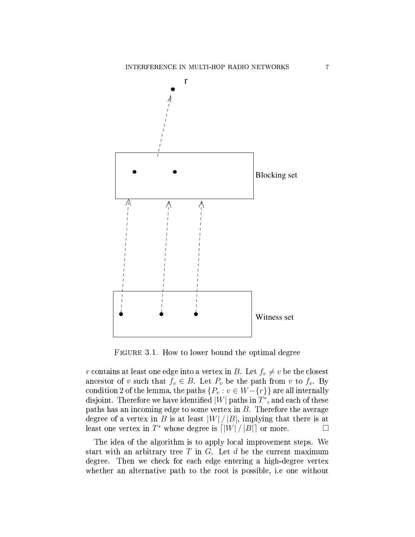

FIGURE 3.1. How to lower bound the optimal degree

r contains at least one edge into a vertex in B. Let  $f_v \neq v$  be the closest ancestor of v such that  $f_v \in B$ . Let  $P_v$  be the path from v to  $f_v$ . By condition 2 of the lemma, the paths  $\{P_v : v \in W - \{r\}\}\)$  are all internally disjoint. Therefore we have identified  $|W|$  paths in  $T^*$ , and each of these paths has an incoming edge to some vertex in  $B$ . Therefore the average degree of a vertex in B is at least  $|W|/|B|$ , implying that there is at least one vertex in  $T^*$  whose degree is  $\lceil |W| / |B| \rceil$  or more.  $\Box$ 

The idea of the algorithm is to apply local improvement steps. We start with an arbitrary tree  $T$  in  $G$ . Let  $d$  be the current maximum degree. Then we check for each edge entering a high-degree vertex whether an alternative path to the root is possible, i.e one without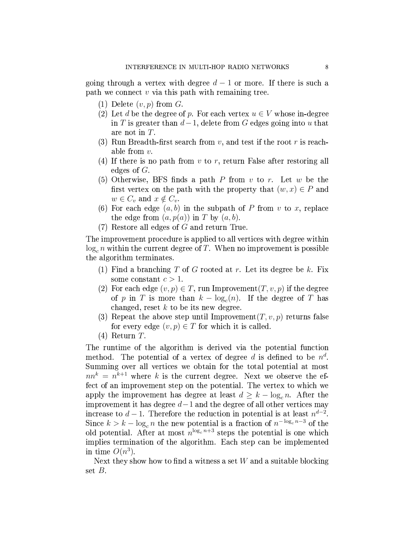going through a vertex with degree  $d-1$  or more. If there is such a path we connect  $v$  via this path with remaining tree.

- (1) Delete  $(v, p)$  from G.
- (2) Let d be the degree of p. For each vertex  $u \in V$  whose in-degree in T is greater than  $d-1$ , delete from G edges going into u that are not in  $T$ .
- (3) Run Breadth-first search from  $v$ , and test if the root r is reachable from  $v$ .
- (4) If there is no path from  $v$  to  $r$ , return False after restoring all edges of  $G$ .
- (5) Otherwise, BFS finds a path P from v to r. Let w be the first vertex on the path with the property that  $(w, x) \in P$  and  $w \in C_v$  and  $x \notin C_v$ .
- (6) For each edge  $(a, b)$  in the subpath of P from v to x, replace the edge from  $(a, p(a))$  in T by  $(a, b)$ .
- $(7)$  Restore all edges of G and return True.

The improvement procedure is applied to all vertices with degree within  $\log_c n$  within the current degree of T. When no improvement is possible the algorithm terminates.

- (1) Find a branching T of G rooted at r. Let its degree be k. Fix some constant  $c > 1$ .
- (2) For each edge  $(v, p) \in T$ , run Improvement $(T, v, p)$  if the degree of p in T is more than  $k - \log_c(n)$ . If the degree of T has changed, reset  $k$  to be its new degree.
- (3) Repeat the above step until Improvement  $(T, v, p)$  returns false for every edge  $(v, p) \in T$  for which it is called.
- $(4)$  Return T.

The runtime of the algorithm is derived via the potential function method. The potential of a vertex of degree d is defined to be  $n^d$ . Summing over all vertices we obtain for the total potential at most  $nn^k = n^{k+1}$  where k is the current degree. Next we observe the effect of an improvement step on the potential. The vertex to which we apply the improvement has degree at least  $d \geq k - \log_c n$ . After the improvement it has degree  $d-1$  and the degree of all other vertices may increase to  $d-1$ . Therefore the reduction in potential is at least  $n^{d-2}$ . Since  $k > k - \log_c n$  the new potential is a fraction of  $n^{-\log_c n - 3}$  of the old potential. After at most  $n^{\log_c n+3}$  steps the potential is one which implies termination of the algorithm. Each step can be implemented in time  $O(n^3)$ .

Next they show how to find a witness a set  $W$  and a suitable blocking set  $B$ .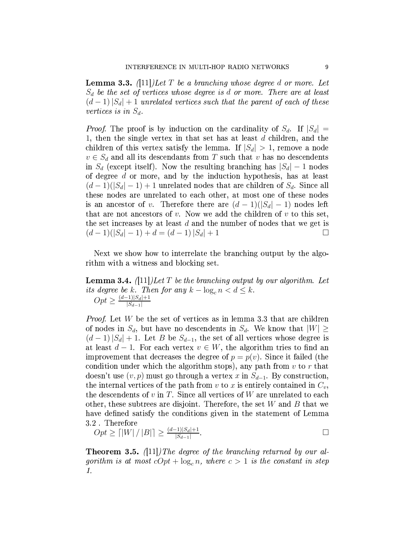**Lemma 3.3.** (11) Let T be a branching whose degree d or more. Let  $S_d$  be the set of vertices whose degree is d or more. There are at least  $(d-1)|S_d|+1$  unrelated vertices such that the parent of each of these vertices is in  $S_d$ .

*Proof.* The proof is by induction on the cardinality of  $S_d$ . If  $|S_d|$  = 1, then the single vertex in that set has at least  $d$  children, and the children of this vertex satisfy the lemma. If  $|S_d| > 1$ , remove a node  $v \in S_d$  and all its descendants from T such that v has no descendents in  $S_d$  (except itself). Now the resulting branching has  $|S_d| - 1$  nodes of degree  $d$  or more, and by the induction hypothesis, has at least  $(d-1)(|S_d|-1)+1$  unrelated nodes that are children of  $S_d$ . Since all these nodes are unrelated to each other, at most one of these nodes is an ancestor of v. Therefore there are  $(d-1)(|S_d|-1)$  nodes left that are not ancestors of  $v$ . Now we add the children of  $v$  to this set, the set increases by at least  $d$  and the number of nodes that we get is  $(d-1)(|S_d|-1)+d=(d-1)|S_d|+1$  $\Box$ 

Next we show how to interrelate the branching output by the algorithm with a witness and blocking set.

**Lemma 3.4.** (111) Let T be the branching output by our algorithm. Let its degree be k. Then for any  $k - \log_c n < d \le k$ .<br>  $Opt \ge \frac{(d-1)|S_d|+1}{|S_{d-1}|}$ 

*Proof.* Let  $W$  be the set of vertices as in lemma 3.3 that are children of nodes in  $S_d$ , but have no descendents in  $S_d$ . We know that  $|W| \geq$  $(d-1)|S_d|+1$ . Let B be  $S_{d-1}$ , the set of all vertices whose degree is at least  $d-1$ . For each vertex  $v \in W$ , the algorithm tries to find an improvement that decreases the degree of  $p = p(v)$ . Since it failed (the condition under which the algorithm stops), any path from  $v$  to  $r$  that doesn't use  $(v, p)$  must go through a vertex x in  $S_{d-1}$ . By construction, the internal vertices of the path from v to x is entirely contained in  $C_v$ , the descendents of  $v$  in  $T$ . Since all vertices of  $W$  are unrelated to each other, these subtrees are disjoint. Therefore, the set  $W$  and  $B$  that we have defined satisfy the conditions given in the statement of Lemma 3.2 Therefore

$$
Opt \ge \lceil |W| / |B| \rceil \ge \frac{(d-1)|S_d|+1}{|S_{d-1}|}.
$$

**Theorem 3.5.** ([11]) The degree of the branching returned by our algorithm is at most  $cOpt + \log_c n$ , where  $c > 1$  is the constant in step  $\mathbf{1}$ .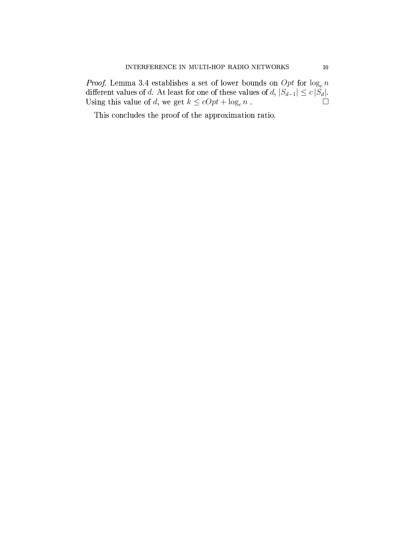*Proof.* Lemma 3.4 establishes a set of lower bounds on  $Opt$  for  $log_c n$ different values of d. At least for one of these values of d,  $|S_{d-1}| \le c |S_d|$ . Using this value of  $d,$  we get  $k \leq cOpt + \log_c n$  .  $\overline{\Box}$ 

This concludes the proof of the approximation ratio.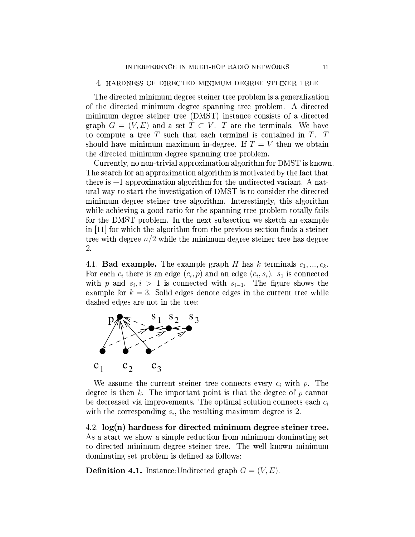### 4. HARDNESS OF DIRECTED MINIMUM DEGREE STEINER TREE

The directed minimum degree steiner tree problem is a generalization of the directed minimum degree spanning tree problem. A directed minimum degree steiner tree (DMST) instance consists of a directed graph  $G = (V, E)$  and a set  $T \subset V$ . T are the terminals. We have to compute a tree  $T$  such that each terminal is contained in  $T$ .  $T$ should have minimum maximum in-degree. If  $T = V$  then we obtain the directed minimum degree spanning tree problem.

Currently, no non-trivial approximation algorithm for DMST is known. The search for an approximation algorithm is motivated by the fact that there is  $+1$  approximation algorithm for the undirected variant. A natural way to start the investigation of DMST is to consider the directed minimum degree steiner tree algorithm. Interestingly, this algorithm while achieving a good ratio for the spanning tree problem totally fails for the DMST problem. In the next subsection we sketch an example in [11] for which the algorithm from the previous section finds a steiner tree with degree  $n/2$  while the minimum degree steiner tree has degree 2.

4.1. **Bad example.** The example graph H has k terminals  $c_1, ..., c_k$ . For each  $c_i$  there is an edge  $(c_i, p)$  and an edge  $(c_i, s_i)$ .  $s_i$  is connected with p and  $s_i, i > 1$  is connected with  $s_{i-1}$ . The figure shows the example for  $k = 3$ . Solid edges denote edges in the current tree while dashed edges are not in the tree:



We assume the current steiner tree connects every  $c_i$  with  $p$ . The degree is then  $k$ . The important point is that the degree of  $p$  cannot be decreased via improvements. The optimal solution connects each  $c_i$ with the corresponding  $s_i$ , the resulting maximum degree is 2.

4.2.  $log(n)$  hardness for directed minimum degree steiner tree. As a start we show a simple reduction from minimum dominating set to directed minimum degree steiner tree. The well known minimum dominating set problem is defined as follows:

**Definition 4.1.** Instance: Undirected graph  $G = (V, E)$ .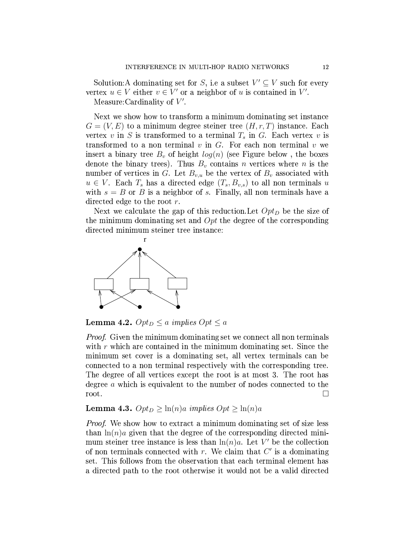Solution: A dominating set for S, i.e a subset  $V' \subseteq V$  such for every vertex  $u \in V$  either  $v \in V'$  or a neighbor of u is contained in V'.

Measure: Cardinality of  $V'$ .

Next we show how to transform a minimum dominating set instance  $G=(V,E)$  to a minimum degree steiner tree  $(H,r,T)$  instance. Each vertex v in S is transformed to a terminal  $T_s$  in G. Each vertex v is transformed to a non terminal  $v$  in  $G$ . For each non terminal  $v$  we insert a binary tree  $B_v$  of height  $log(n)$  (see Figure below, the boxes denote the binary trees). Thus  $B_v$  contains n vertices where n is the number of vertices in G. Let  $B_{v,u}$  be the vertex of  $B_v$  associated with  $u \in V$ . Each  $T_s$  has a directed edge  $(T_s, B_{v,s})$  to all non terminals u with  $s = B$  or B is a neighbor of s. Finally, all non terminals have a directed edge to the root  $r$ .

Next we calculate the gap of this reduction. Let  $Opt_D$  be the size of the minimum dominating set and  $Opt$  the degree of the corresponding directed minimum steiner tree instance:



**Lemma 4.2.**  $Opt_D \leq a$  implies  $Opt \leq a$ 

*Proof.* Given the minimum dominating set we connect all non terminals with  $r$  which are contained in the minimum dominating set. Since the minimum set cover is a dominating set, all vertex terminals can be connected to a non terminal respectively with the corresponding tree. The degree of all vertices except the root is at most 3. The root has degree a which is equivalent to the number of nodes connected to the root.  $\Box$ 

## **Lemma 4.3.**  $Opt_D \geq \ln(n)a$  implies  $Opt \geq \ln(n)a$

*Proof.* We show how to extract a minimum dominating set of size less than  $\ln(n)a$  given that the degree of the corresponding directed minimum steiner tree instance is less than  $\ln(n)a$ . Let V' be the collection of non terminals connected with  $r$ . We claim that  $C'$  is a dominating set. This follows from the observation that each terminal element has a directed path to the root otherwise it would not be a valid directed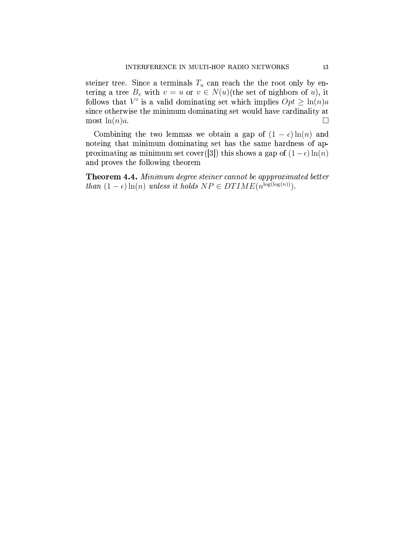steiner tree. Since a terminals  $T_u$  can reach the the root only by entering a tree  $B_v$  with  $v = u$  or  $v \in N(u)$ (the set of nighbors of u), it follows that V' is a valid dominating set which implies  $Opt \geq \ln(n)a$ since otherwise the minimum dominating set would have cardinality at most  $\ln(n)a$ .  $\Box$ 

Combining the two lemmas we obtain a gap of  $(1 - \epsilon) \ln(n)$  and noteing that minimum dominating set has the same hardness of approximating as minimum set cover([3]) this shows a gap of  $(1 - \epsilon) \ln(n)$ and proves the following theorem

Theorem 4.4. Minimum degree steiner cannot be appproximated better than  $(1 - \epsilon) \ln(n)$  unless it holds  $NP \in DTIME(n^{\log(\log(n))})$ .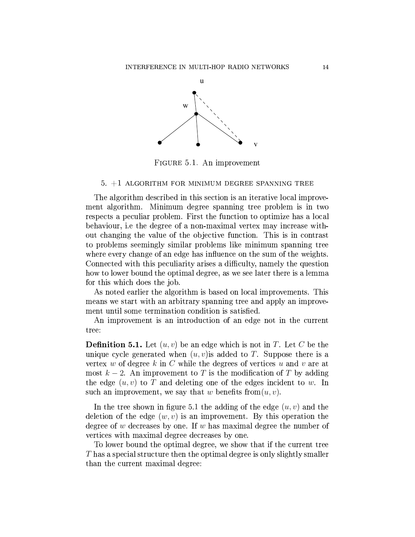

FIGURE 5.1. An improvement

### $5. +1$  ALGORITHM FOR MINIMUM DEGREE SPANNING TREE

The algorithm described in this section is an iterative local improvement algorithm. Minimum degree spanning tree problem is in two respects a peculiar problem. First the function to optimize has a local behaviour, i.e the degree of a non-maximal vertex may increase without changing the value of the objective function. This is in contrast to problems seemingly similar problems like minimum spanning tree where every change of an edge has influence on the sum of the weights. Connected with this peculiarity arises a difficulty, namely the question how to lower bound the optimal degree, as we see later there is a lemma for this which does the job.

As noted earlier the algorithm is based on local improvements. This means we start with an arbitrary spanning tree and apply an improvement until some termination condition is satisfied.

An improvement is an introduction of an edge not in the current tree:

**Definition 5.1.** Let  $(u, v)$  be an edge which is not in T. Let C be the unique cycle generated when  $(u, v)$  is added to T. Suppose there is a vertex w of degree k in C while the degrees of vertices u and v are at most  $k-2$ . An improvement to T is the modification of T by adding the edge  $(u, v)$  to T and deleting one of the edges incident to w. In such an improvement, we say that w benefits from  $(u, v)$ .

In the tree shown in figure 5.1 the adding of the edge  $(u, v)$  and the deletion of the edge  $(w, v)$  is an improvement. By this operation the degree of  $w$  decreases by one. If  $w$  has maximal degree the number of vertices with maximal degree decreases by one.

To lower bound the optimal degree, we show that if the current tree  $T$  has a special structure then the optimal degree is only slightly smaller than the current maximal degree: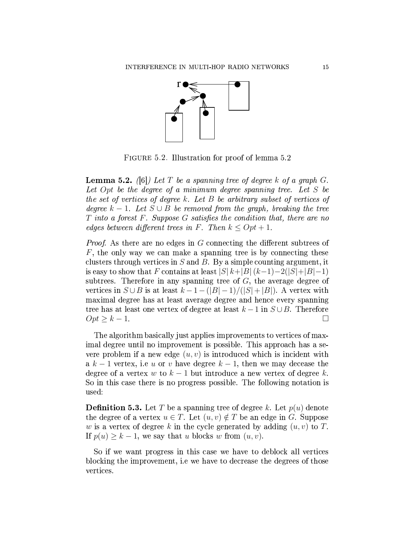

FIGURE 5.2. Illustration for proof of lemma 5.2

**Lemma 5.2.** (6) Let T be a spanning tree of degree k of a graph G. Let  $Opt$  be the degree of a minimum degree spanning tree. Let  $S$  be the set of vertices of degree k. Let B be arbitrary subset of vertices of degree  $k-1$ . Let  $S \cup B$  be removed from the graph, breaking the tree T into a forest F. Suppose G satisfies the condition that, there are no edges between different trees in F. Then  $k \leq Opt + 1$ .

*Proof.* As there are no edges in G connecting the different subtrees of  $F$ , the only way we can make a spanning tree is by connecting these clusters through vertices in  $S$  and  $B$ . By a simple counting argument, it is easy to show that F contains at least  $|S| k + |B| (k-1) - 2(|S| + |B| - 1)$ subtrees. Therefore in any spanning tree of  $G$ , the average degree of vertices in  $S \cup B$  is at least  $k-1-(|B|-1)/(|S|+|B|)$ . A vertex with maximal degree has at least average degree and hence every spanning tree has at least one vertex of degree at least  $k-1$  in  $S \cup B$ . Therefore  $Opt \geq k-1$ . П

The algorithm basically just applies improvements to vertices of maximal degree until no improvement is possible. This approach has a severe problem if a new edge  $(u, v)$  is introduced which is incident with a  $k-1$  vertex, i.e u or v have degree  $k-1$ , then we may decease the degree of a vertex w to  $k-1$  but introduce a new vertex of degree k. So in this case there is no progress possible. The following notation is used:

**Definition 5.3.** Let T be a spanning tree of degree k. Let  $p(u)$  denote the degree of a vertex  $u \in T$ . Let  $(u, v) \notin T$  be an edge in G. Suppose w is a vertex of degree k in the cycle generated by adding  $(u, v)$  to T. If  $p(u) \geq k-1$ , we say that u blocks w from  $(u, v)$ .

So if we want progress in this case we have to deblock all vertices blocking the improvement, i.e we have to decrease the degrees of those vertices.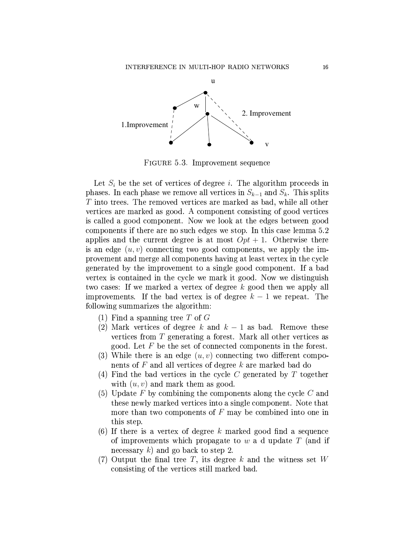

FIGURE 5.3. Improvement sequence

Let  $S_i$  be the set of vertices of degree i. The algorithm proceeds in phases. In each phase we remove all vertices in  $S_{k-1}$  and  $S_k$ . This splits T into trees. The removed vertices are marked as bad, while all other vertices are marked as good. A component consisting of good vertices is called a good component. Now we look at the edges between good components if there are no such edges we stop. In this case lemma 5.2 applies and the current degree is at most  $Opt + 1$ . Otherwise there is an edge  $(u, v)$  connecting two good components, we apply the improvement and merge all components having at least vertex in the cycle generated by the improvement to a single good component. If a bad vertex is contained in the cycle we mark it good. Now we distinguish two cases: If we marked a vertex of degree  $k$  good then we apply all improvements. If the bad vertex is of degree  $k-1$  we repeat. The following summarizes the algorithm:

- (1) Find a spanning tree T of  $G$
- (2) Mark vertices of degree k and  $k-1$  as bad. Remove these vertices from T generating a forest. Mark all other vertices as good. Let  $F$  be the set of connected components in the forest.
- (3) While there is an edge  $(u, v)$  connecting two different components of  $F$  and all vertices of degree  $k$  are marked bad do
- (4) Find the bad vertices in the cycle C generated by T together with  $(u, v)$  and mark them as good.
- (5) Update F by combining the components along the cycle C and these newly marked vertices into a single component. Note that more than two components of  $F$  may be combined into one in this step.
- (6) If there is a vertex of degree k marked good find a sequence of improvements which propagate to  $w$  a d update T (and if necessary k) and go back to step 2.
- (7) Output the final tree T, its degree k and the witness set  $W$ consisting of the vertices still marked bad.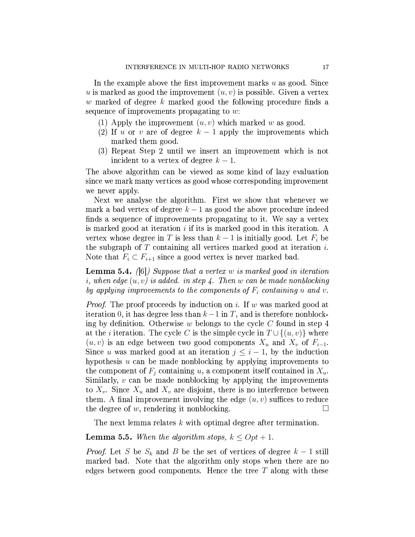In the example above the first improvement marks  $u$  as good. Since u is marked as good the improvement  $(u, v)$  is possible. Given a vertex w marked of degree k marked good the following procedure finds a sequence of improvements propagating to  $w$ :

- (1) Apply the improvement  $(u, v)$  which marked w as good.
- (2) If u or v are of degree  $k-1$  apply the improvements which marked them good.
- (3) Repeat Step 2 until we insert an improvement which is not incident to a vertex of degree  $k-1$ .

The above algorithm can be viewed as some kind of lazy evaluation since we mark many vertices as good whose corresponding improvement we never apply.

Next we analyse the algorithm. First we show that whenever we mark a bad vertex of degree  $k-1$  as good the above procedure indeed finds a sequence of improvements propagating to it. We say a vertex is marked good at iteration  $i$  if its is marked good in this iteration. A vertex whose degree in T is less than  $k-1$  is initially good. Let  $F_i$  be the subgraph of  $T$  containing all vertices marked good at iteration  $i$ . Note that  $F_i \subset F_{i+1}$  since a good vertex is never marked bad.

**Lemma 5.4.** ([6]) Suppose that a vertex w is marked good in iteration i, when edge  $(u, v)$  is added. in step 4. Then w can be made nonblocking by applying improvements to the components of  $F_i$  containing u and v.

*Proof.* The proof proceeds by induction on i. If w was marked good at iteration 0, it has degree less than  $k-1$  in T, and is therefore nonblocking by definition. Otherwise w belongs to the cycle C found in step 4 at the *i* iteration. The cycle C is the simple cycle in  $T \cup \{(u, v)\}\$  where  $(u, v)$  is an edge between two good components  $X_u$  and  $X_v$  of  $F_{i-1}$ . Since u was marked good at an iteration  $j \leq i-1$ , by the induction hypothesis  $u$  can be made nonblocking by applying improvements to the component of  $F_i$  containing u, a component itself contained in  $X_u$ . Similarly,  $v$  can be made nonblocking by applying the improvements to  $X_v$ . Since  $X_u$  and  $X_v$  are disjoint, there is no interference between them. A final improvement involving the edge  $(u, v)$  suffices to reduce the degree of  $w$ , rendering it nonblocking.  $\Box$ 

The next lemma relates  $k$  with optimal degree after termination.

### **Lemma 5.5.** When the algorithm stops,  $k \leq Opt + 1$ .

*Proof.* Let S be  $S_k$  and B be the set of vertices of degree  $k-1$  still marked bad. Note that the algorithm only stops when there are no edges between good components. Hence the tree  $T$  along with these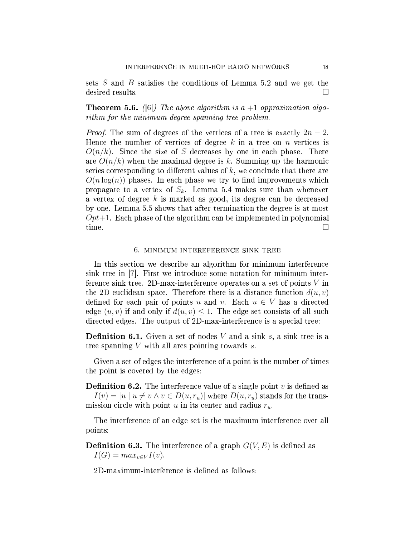sets  $S$  and  $B$  satisfies the conditions of Lemma 5.2 and we get the desired results.  $\Box$ 

**Theorem 5.6.** ([6]) The above algorithm is  $a + 1$  approximation algorithm for the minimum degree spanning tree problem.

*Proof.* The sum of degrees of the vertices of a tree is exactly  $2n - 2$ . Hence the number of vertices of degree  $k$  in a tree on  $n$  vertices is  $O(n/k)$ . Since the size of S decreases by one in each phase. There are  $O(n/k)$  when the maximal degree is k. Summing up the harmonic series corresponding to different values of  $k$ , we conclude that there are  $O(n \log(n))$  phases. In each phase we try to find improvements which propagate to a vertex of  $S_k$ . Lemma 5.4 makes sure than whenever a vertex of degree  $k$  is marked as good, its degree can be decreased by one. Lemma 5.5 shows that after termination the degree is at most  $Opt+1$ . Each phase of the algorithm can be implemented in polynomial time.  $\Box$ 

### 6. MINIMUM INTEREFERENCE SINK TREE

In this section we describe an algorithm for minimum interference sink tree in [7]. First we introduce some notation for minimum interference sink tree. 2D-max-interference operates on a set of points  $V$  in the 2D euclidean space. Therefore there is a distance function  $d(u, v)$ defined for each pair of points u and v. Each  $u \in V$  has a directed edge  $(u, v)$  if and only if  $d(u, v) \leq 1$ . The edge set consists of all such directed edges. The output of 2D-max-interference is a special tree:

**Definition 6.1.** Given a set of nodes V and a sink s, a sink tree is a tree spanning  $V$  with all arcs pointing towards  $s$ .

Given a set of edges the interference of a point is the number of times the point is covered by the edges:

**Definition 6.2.** The interference value of a single point  $v$  is defined as  $I(v) = |u| u \neq v \wedge v \in D(u,r_u)$  where  $D(u,r_u)$  stands for the transmission circle with point  $u$  in its center and radius  $r_u$ .

The interference of an edge set is the maximum interference over all points:

**Definition 6.3.** The interference of a graph  $G(V, E)$  is defined as  $I(G) = max_{v \in V} I(v).$ 

2D-maximum-interference is defined as follows: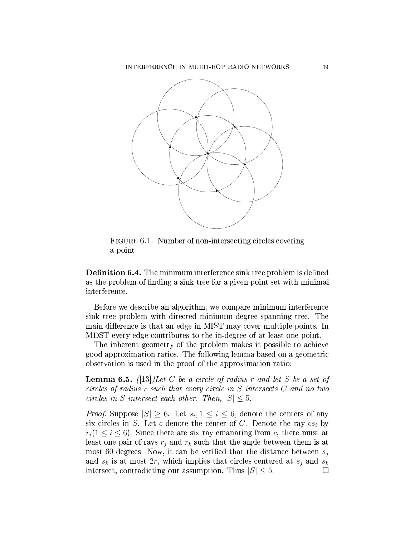

FIGURE 6.1. Number of non-intersecting circles covering a point

**Definition 6.4.** The minimum interference sink tree problem is defined as the problem of finding a sink tree for a given point set with minimal interference.

Before we describe an algorithm, we compare minimum interference sink tree problem with directed minimum degree spanning tree. The main difference is that an edge in MIST may cover multiple points. In MDST every edge contributes to the in-degree of at least one point.

The inherent geometry of the problem makes it possible to achieve good approximation ratios. The following lemma based on a geometric observation is used in the proof of the approximation ratio:

**Lemma 6.5.** (13) Let C be a circle of radius r and let S be a set of circles of radius  $r$  such that every circle in  $S$  intersects  $C$  and no two circles in S intersect each other. Then,  $|S| \leq 5$ .

*Proof.* Suppose  $|S| \geq 6$ . Let  $s_i, 1 \leq i \leq 6$ , denote the centers of any six circles in S. Let c denote the center of C. Denote the ray  $cs_i$  by  $r_i(1 \leq i \leq 6)$ . Since there are six ray emanating from c, there must at least one pair of rays  $r_i$  and  $r_k$  such that the angle between them is at most 60 degrees. Now, it can be verified that the distance between  $s_i$ and  $s_k$  is at most  $2r$ , which implies that circles centered at  $s_j$  and  $s_k$ intersect, contradicting our assumption. Thus  $|S| \leq 5$ .  $\Box$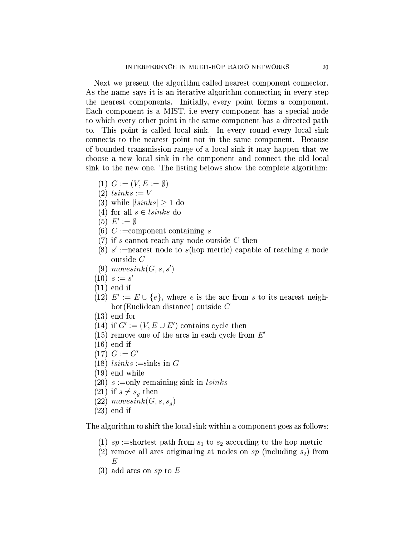Next we present the algorithm called nearest component connector. As the name says it is an iterative algorithm connecting in every step the nearest components. Initially, every point forms a component. Each component is a MIST, i.e every component has a special node to which every other point in the same component has a directed path to. This point is called local sink. In every round every local sink connects to the nearest point not in the same component. Because of bounded transmission range of a local sink it may happen that we choose a new local sink in the component and connect the old local sink to the new one. The listing belows show the complete algorithm:

- (1)  $G := (V, E := \emptyset)$
- $(2)$  lsinks := V
- (3) while  $|lsinks| > 1$  do
- (4) for all  $s \in \text{lsinks}$  do
- $(5) E' := \emptyset$
- (6)  $C :=$ component containing s
- $(7)$  if s cannot reach any node outside C then
- (8) s' := nearest node to s(hop metric) capable of reaching a node outside  $C$
- $(9)$  movesink $(G, s, s')$
- $(10) s := s'$
- $(11)$  end if
- (12)  $E' := E \cup \{e\}$ , where e is the arc from s to its nearest neigh $bor(Euclidean distance)$  outside  $C$
- $(13)$  end for
- (14) if  $G' := (V, E \cup E')$  contains cycle then
- (15) remove one of the arcs in each cycle from  $E'$
- $(16)$  end if
- $(17) G := G'$
- $(18)$  lsinks  $:=$ sinks in G
- $(19)$  end while
- $(20)$  s := only remaining sink in lsinks
- $(21)$  if  $s \neq s_q$  then
- $(22) \text{ moves}ink(G, s, s_q)$
- $(23)$  end if

The algorithm to shift the local sink within a component goes as follows:

- (1)  $sp :=$ shortest path from  $s_1$  to  $s_2$  according to the hop metric
- (2) remove all arcs originating at nodes on sp (including  $s_2$ ) from E
- (3) add arcs on sp to  $E$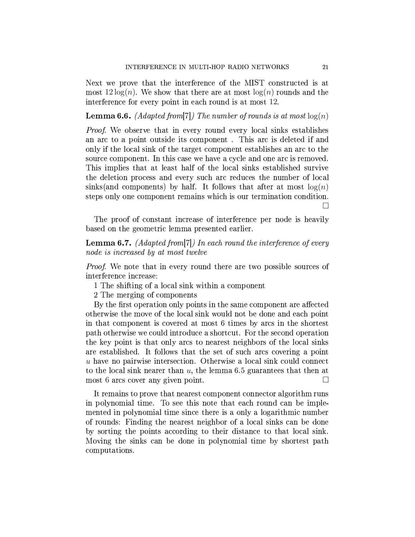Next we prove that the interference of the MIST constructed is at most  $12\log(n)$ . We show that there are at most  $\log(n)$  rounds and the interference for every point in each round is at most 12.

**Lemma 6.6.** (Adapted from [7]) The number of rounds is at most  $log(n)$ 

*Proof.* We observe that in every round every local sinks establishes an arc to a point outside its component. This arc is deleted if and only if the local sink of the target component establishes an arc to the source component. In this case we have a cycle and one arc is removed. This implies that at least half of the local sinks established survive the deletion process and every such arc reduces the number of local sinks (and components) by half. It follows that after at most  $log(n)$ steps only one component remains which is our termination condition.  $\Box$ 

The proof of constant increase of interference per node is heavily based on the geometric lemma presented earlier.

**Lemma 6.7.** (Adapted from  $[7]$ ) In each round the interference of every node is increased by at most twelve

*Proof.* We note that in every round there are two possible sources of interference increase:

1 The shifting of a local sink within a component

2 The merging of components

By the first operation only points in the same component are affected otherwise the move of the local sink would not be done and each point in that component is covered at most 6 times by arcs in the shortest path otherwise we could introduce a shortcut. For the second operation the key point is that only arcs to nearest neighbors of the local sinks are established. It follows that the set of such arcs covering a point u have no pairwise intersection. Otherwise a local sink could connect to the local sink nearer than  $u$ , the lemma 6.5 guarantees that then at most 6 arcs cover any given point. П

It remains to prove that nearest component connector algorithm runs in polynomial time. To see this note that each round can be implemented in polynomial time since there is a only a logarithmic number of rounds: Finding the nearest neighbor of a local sinks can be done by sorting the points according to their distance to that local sink. Moving the sinks can be done in polynomial time by shortest path computations.